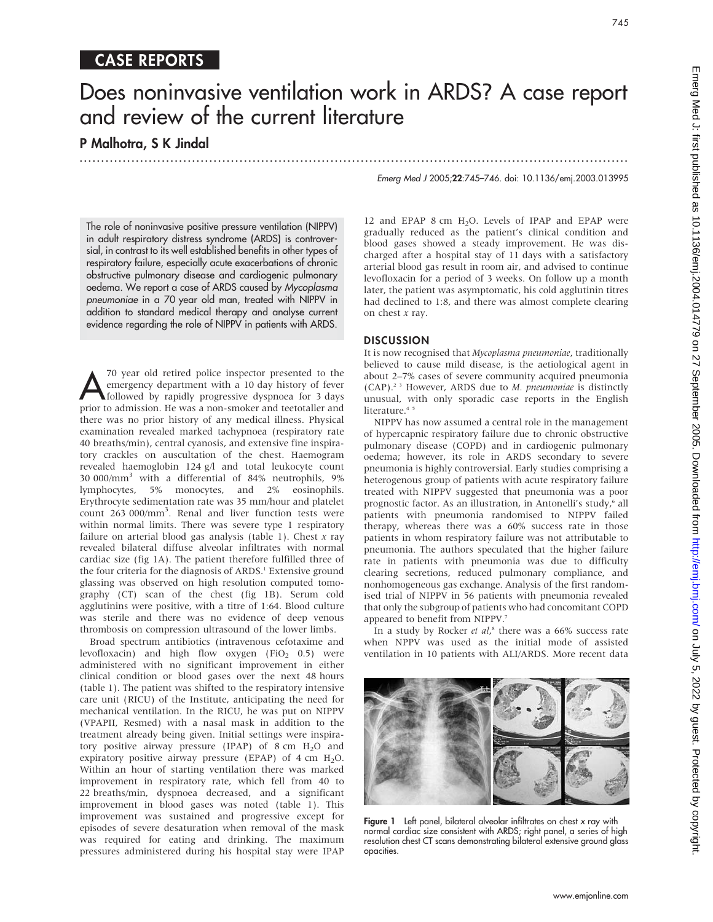### CASE REPORTS

# Does noninvasive ventilation work in ARDS? A case report and review of the current literature

#### P Malhotra, S K Jindal

...............................................................................................................................

The role of noninvasive positive pressure ventilation (NIPPV) in adult respiratory distress syndrome (ARDS) is controversial, in contrast to its well established benefits in other types of respiratory failure, especially acute exacerbations of chronic obstructive pulmonary disease and cardiogenic pulmonary oedema. We report a case of ARDS caused by Mycoplasma pneumoniae in a 70 year old man, treated with NIPPV in addition to standard medical therapy and analyse current evidence regarding the role of NIPPV in patients with ARDS.

To year old retired police inspector presented to the<br>emergency department with a 10 day history of fever<br>followed by rapidly progressive dyspnoea for 3 days emergency department with a 10 day history of fever followed by rapidly progressive dyspnoea for 3 days prior to admission. He was a non-smoker and teetotaller and there was no prior history of any medical illness. Physical examination revealed marked tachypnoea (respiratory rate 40 breaths/min), central cyanosis, and extensive fine inspiratory crackles on auscultation of the chest. Haemogram revealed haemoglobin 124 g/l and total leukocyte count 30 000/mm<sup>3</sup> with a differential of 84% neutrophils, 9% lymphocytes, 5% monocytes, and 2% eosinophils. Erythrocyte sedimentation rate was 35 mm/hour and platelet count 263 000/mm<sup>3</sup> . Renal and liver function tests were within normal limits. There was severe type 1 respiratory failure on arterial blood gas analysis (table 1). Chest  $x$  ray revealed bilateral diffuse alveolar infiltrates with normal cardiac size (fig 1A). The patient therefore fulfilled three of the four criteria for the diagnosis of ARDS.<sup>1</sup> Extensive ground glassing was observed on high resolution computed tomography (CT) scan of the chest (fig 1B). Serum cold agglutinins were positive, with a titre of 1:64. Blood culture was sterile and there was no evidence of deep venous thrombosis on compression ultrasound of the lower limbs.

Broad spectrum antibiotics (intravenous cefotaxime and levofloxacin) and high flow oxygen (FiO<sub>2</sub> 0.5) were administered with no significant improvement in either clinical condition or blood gases over the next 48 hours (table 1). The patient was shifted to the respiratory intensive care unit (RICU) of the Institute, anticipating the need for mechanical ventilation. In the RICU, he was put on NIPPV (VPAPII, Resmed) with a nasal mask in addition to the treatment already being given. Initial settings were inspiratory positive airway pressure (IPAP) of  $8 \text{ cm}$  H<sub>2</sub>O and expiratory positive airway pressure (EPAP) of  $4 \text{ cm}$  H<sub>2</sub>O. Within an hour of starting ventilation there was marked improvement in respiratory rate, which fell from 40 to 22 breaths/min, dyspnoea decreased, and a significant improvement in blood gases was noted (table 1). This improvement was sustained and progressive except for episodes of severe desaturation when removal of the mask was required for eating and drinking. The maximum pressures administered during his hospital stay were IPAP

Emerg Med J 2005;22:745–746. doi: 10.1136/emj.2003.013995

12 and EPAP 8 cm  $H_2O$ . Levels of IPAP and EPAP were gradually reduced as the patient's clinical condition and blood gases showed a steady improvement. He was discharged after a hospital stay of 11 days with a satisfactory arterial blood gas result in room air, and advised to continue levofloxacin for a period of 3 weeks. On follow up a month later, the patient was asymptomatic, his cold agglutinin titres had declined to 1:8, and there was almost complete clearing on chest x ray.

#### DISCUSSION

It is now recognised that Mycoplasma pneumoniae, traditionally believed to cause mild disease, is the aetiological agent in about 2–7% cases of severe community acquired pneumonia  $(CAP)^2$ <sup>3</sup> However, ARDS due to *M. pneumoniae* is distinctly unusual, with only sporadic case reports in the English literature.<sup>45</sup>

NIPPV has now assumed a central role in the management of hypercapnic respiratory failure due to chronic obstructive pulmonary disease (COPD) and in cardiogenic pulmonary oedema; however, its role in ARDS secondary to severe pneumonia is highly controversial. Early studies comprising a heterogenous group of patients with acute respiratory failure treated with NIPPV suggested that pneumonia was a poor prognostic factor. As an illustration, in Antonelli's study,<sup>6</sup> all patients with pneumonia randomised to NIPPV failed therapy, whereas there was a 60% success rate in those patients in whom respiratory failure was not attributable to pneumonia. The authors speculated that the higher failure rate in patients with pneumonia was due to difficulty clearing secretions, reduced pulmonary compliance, and nonhomogeneous gas exchange. Analysis of the first randomised trial of NIPPV in 56 patients with pneumonia revealed that only the subgroup of patients who had concomitant COPD appeared to benefit from NIPPV.7

In a study by Rocker et al,<sup>8</sup> there was a 66% success rate when NPPV was used as the initial mode of assisted ventilation in 10 patients with ALI/ARDS. More recent data



Figure  $1$  Left panel, bilateral alveolar infiltrates on chest x ray with normal cardiac size consistent with ARDS; right panel, a series of high resolution chest CT scans demonstrating bilateral extensive ground glass opacities.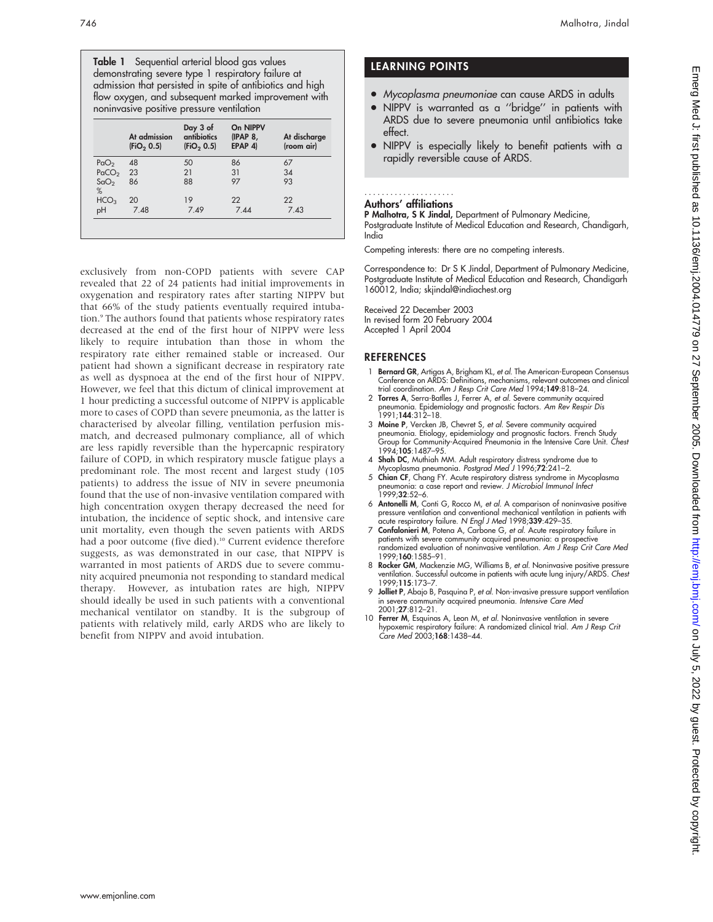**Table 1** Sequential arterial blood gas values demonstrating severe type 1 respiratory failure at admission that persisted in spite of antibiotics and high flow oxygen, and subsequent marked improvement with noninvasive positive pressure ventilation

|                       | At admission<br>(FIO, 0.5) | Day 3 of<br><b>antibiotics</b><br>(FIO <sub>2</sub> 0.5) | On NIPPV<br>(IPAP 8,<br>EPAP 4) | At discharge<br>(room air) |
|-----------------------|----------------------------|----------------------------------------------------------|---------------------------------|----------------------------|
| PaO <sub>2</sub>      | 48                         | 50                                                       | 86                              | 67                         |
| PaCO <sub>2</sub>     | 23                         | 21                                                       | 31                              | 34                         |
| SaO <sub>2</sub><br>% | 86                         | 88                                                       | 97                              | 93                         |
| HCO <sub>3</sub>      | 20                         | 19                                                       | 22                              | 22                         |
| pH                    | 7.48                       | 7.49                                                     | 744                             | 7.43                       |

exclusively from non-COPD patients with severe CAP revealed that 22 of 24 patients had initial improvements in oxygenation and respiratory rates after starting NIPPV but that 66% of the study patients eventually required intubation.<sup>9</sup> The authors found that patients whose respiratory rates decreased at the end of the first hour of NIPPV were less likely to require intubation than those in whom the respiratory rate either remained stable or increased. Our patient had shown a significant decrease in respiratory rate as well as dyspnoea at the end of the first hour of NIPPV. However, we feel that this dictum of clinical improvement at 1 hour predicting a successful outcome of NIPPV is applicable more to cases of COPD than severe pneumonia, as the latter is characterised by alveolar filling, ventilation perfusion mismatch, and decreased pulmonary compliance, all of which are less rapidly reversible than the hypercapnic respiratory failure of COPD, in which respiratory muscle fatigue plays a predominant role. The most recent and largest study (105 patients) to address the issue of NIV in severe pneumonia found that the use of non-invasive ventilation compared with high concentration oxygen therapy decreased the need for intubation, the incidence of septic shock, and intensive care unit mortality, even though the seven patients with ARDS had a poor outcome (five died).<sup>10</sup> Current evidence therefore suggests, as was demonstrated in our case, that NIPPV is warranted in most patients of ARDS due to severe community acquired pneumonia not responding to standard medical therapy. However, as intubation rates are high, NIPPV should ideally be used in such patients with a conventional mechanical ventilator on standby. It is the subgroup of patients with relatively mild, early ARDS who are likely to benefit from NIPPV and avoid intubation.

#### LEARNING POINTS

- Mycoplasma pneumoniae can cause ARDS in adults
- NIPPV is warranted as a "bridge" in patients with ARDS due to severe pneumonia until antibiotics take effect.
- NIPPV is especially likely to benefit patients with a rapidly reversible cause of ARDS.

#### Authors' affiliations .....................

P Malhotra, S K Jindal, Department of Pulmonary Medicine, Postgraduate Institute of Medical Education and Research, Chandigarh, India

Competing interests: there are no competing interests.

Correspondence to: Dr S K Jindal, Department of Pulmonary Medicine, Postgraduate Institute of Medical Education and Research, Chandigarh 160012, India; skjindal@indiachest.org

Received 22 December 2003 In revised form 20 February 2004 Accepted 1 April 2004

- 1 Bernard GR, Artigas A, Brigham KL, et al. The American-European Consensus Conference on ARDS: Definitions, mechanisms, relevant outcomes and clinical trial coordination. Am J Resp Crit Care Med 1994;149:818–24.
- 2 Torres A, Serra-Batlles J, Ferrer A, et al. Severe community acquired pneumonia. Epidemiology and prognostic factors. Am Rev Respir Dis 1991;144:312–18.
- 3 Moine P, Vercken JB, Chevret S, et al. Severe community acquired pneumonia. Etiology, epidemiology and prognostic factors. French Study Group for Community-Acquired Pneumonia in the Intensive Care Unit. Chest 1994;105:1487–95.
- 4 Shah DC, Muthiah MM. Adult respiratory distress syndrome due to Mycoplasma pneumonia. Postgrad Med J 1996;72:241–2.
- 5 **Chian CF**, Chang FY. Acute respiratory distress syndrome in Mycoplasma<br>pneumonia: a case report and review. *J Microbiol Immunol Infect*<br>1999;**32**:52–6.
- 6 Antonelli M, Conti G, Rocco M, et al. A comparison of noninvasive positive pressure ventilation and conventional mechanical ventilation in patients with acute respiratory failure. N Engl J Med 1998;339:429–35.
- 7 Confalonieri M, Potena A, Carbone G, et al. Acute respiratory failure in patients with severe community acquired pneumonia: a prospective randomized evaluation of noninvasive ventilation. Am J Resp Crit Care Med 1999;160:1585–91.
- 8 Rocker GM, Mackenzie MG, Williams B, et al. Noninvasive positive pressure ventilation. Successful outcome in patients with acute lung injury/ARDS. Chest 1999;115:173–7.
- 9 Jolliet P, Abajo B, Pasquina P, et al. Non-invasive pressure support ventilation in severe community acquired pneumonia. Intensive Care Med 2001;27:812–21.
- 10 Ferrer M, Esquinas A, Leon M, et al. Noninvasive ventilation in severe hypoxemic respiratory failure: A randomized clinical trial. Am J Resp Crit Care Med 2003;168:1438–44.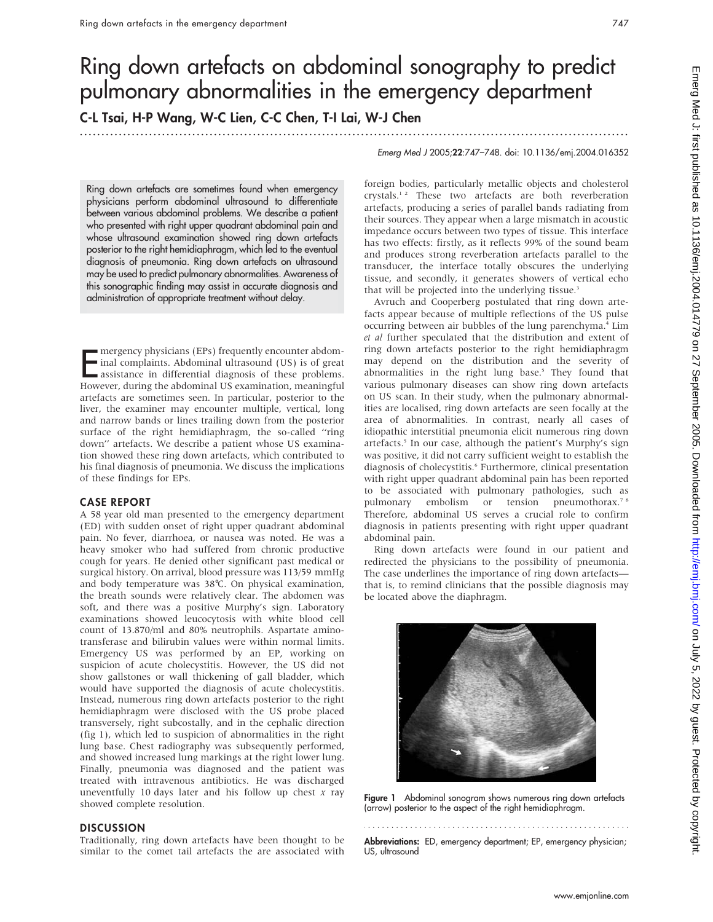## Ring down artefacts on abdominal sonography to predict pulmonary abnormalities in the emergency department C-L Tsai, H-P Wang, W-C Lien, C-C Chen, T-I Lai, W-J Chen ...............................................................................................................................

#### Emerg Med J 2005;22:747–748. doi: 10.1136/emj.2004.016352

Ring down artefacts are sometimes found when emergency physicians perform abdominal ultrasound to differentiate between various abdominal problems. We describe a patient who presented with right upper quadrant abdominal pain and whose ultrasound examination showed ring down artefacts posterior to the right hemidiaphragm, which led to the eventual diagnosis of pneumonia. Ring down artefacts on ultrasound may be used to predict pulmonary abnormalities. Awareness of this sonographic finding may assist in accurate diagnosis and administration of appropriate treatment without delay.

E mergency physicians (EPs) frequently encounter abdominal complaints. Abdominal ultrasound (US) is of great<br>assistance in differential diagnosis of these problems.<br>However, during the abdominal US examination, meaningful mergency physicians (EPs) frequently encounter abdominal complaints. Abdominal ultrasound (US) is of great assistance in differential diagnosis of these problems. artefacts are sometimes seen. In particular, posterior to the liver, the examiner may encounter multiple, vertical, long and narrow bands or lines trailing down from the posterior surface of the right hemidiaphragm, the so-called "ring down'' artefacts. We describe a patient whose US examination showed these ring down artefacts, which contributed to his final diagnosis of pneumonia. We discuss the implications of these findings for EPs.

#### CASE REPORT

A 58 year old man presented to the emergency department (ED) with sudden onset of right upper quadrant abdominal pain. No fever, diarrhoea, or nausea was noted. He was a heavy smoker who had suffered from chronic productive cough for years. He denied other significant past medical or surgical history. On arrival, blood pressure was 113/59 mmHg and body temperature was 38˚C. On physical examination, the breath sounds were relatively clear. The abdomen was soft, and there was a positive Murphy's sign. Laboratory examinations showed leucocytosis with white blood cell count of 13.870/ml and 80% neutrophils. Aspartate aminotransferase and bilirubin values were within normal limits. Emergency US was performed by an EP, working on suspicion of acute cholecystitis. However, the US did not show gallstones or wall thickening of gall bladder, which would have supported the diagnosis of acute cholecystitis. Instead, numerous ring down artefacts posterior to the right hemidiaphragm were disclosed with the US probe placed transversely, right subcostally, and in the cephalic direction (fig 1), which led to suspicion of abnormalities in the right lung base. Chest radiography was subsequently performed, and showed increased lung markings at the right lower lung. Finally, pneumonia was diagnosed and the patient was treated with intravenous antibiotics. He was discharged uneventfully 10 days later and his follow up chest  $x$  ray showed complete resolution.

#### **DISCUSSION**

Traditionally, ring down artefacts have been thought to be similar to the comet tail artefacts the are associated with foreign bodies, particularly metallic objects and cholesterol crystals.1 2 These two artefacts are both reverberation artefacts, producing a series of parallel bands radiating from their sources. They appear when a large mismatch in acoustic impedance occurs between two types of tissue. This interface has two effects: firstly, as it reflects 99% of the sound beam and produces strong reverberation artefacts parallel to the transducer, the interface totally obscures the underlying tissue, and secondly, it generates showers of vertical echo that will be projected into the underlying tissue.<sup>3</sup>

Avruch and Cooperberg postulated that ring down artefacts appear because of multiple reflections of the US pulse occurring between air bubbles of the lung parenchyma.<sup>4</sup> Lim et al further speculated that the distribution and extent of ring down artefacts posterior to the right hemidiaphragm may depend on the distribution and the severity of abnormalities in the right lung base.<sup>5</sup> They found that various pulmonary diseases can show ring down artefacts on US scan. In their study, when the pulmonary abnormalities are localised, ring down artefacts are seen focally at the area of abnormalities. In contrast, nearly all cases of idiopathic interstitial pneumonia elicit numerous ring down artefacts.<sup>5</sup> In our case, although the patient's Murphy's sign was positive, it did not carry sufficient weight to establish the diagnosis of cholecystitis.<sup>6</sup> Furthermore, clinical presentation with right upper quadrant abdominal pain has been reported to be associated with pulmonary pathologies, such as pulmonary embolism or tension pneumothorax.<sup>7 8</sup> Therefore, abdominal US serves a crucial role to confirm diagnosis in patients presenting with right upper quadrant abdominal pain.

Ring down artefacts were found in our patient and redirected the physicians to the possibility of pneumonia. The case underlines the importance of ring down artefacts that is, to remind clinicians that the possible diagnosis may be located above the diaphragm.



Figure 1 Abdominal sonogram shows numerous ring down artefacts (arrow) posterior to the aspect of the right hemidiaphragm.

Abbreviations: ED, emergency department; EP, emergency physician; US, ultrasound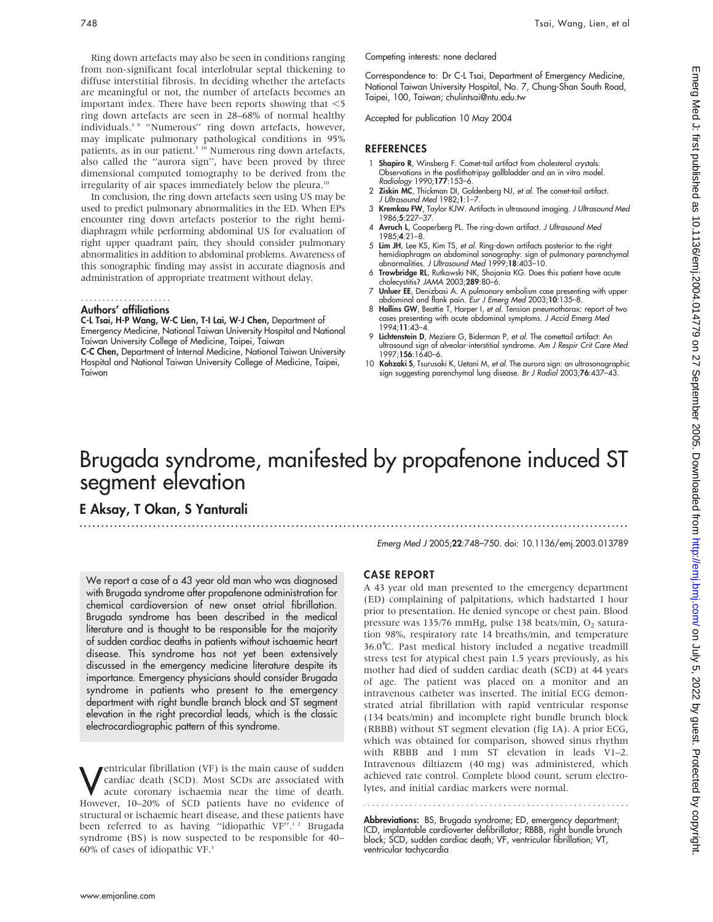Ring down artefacts may also be seen in conditions ranging from non-significant focal interlobular septal thickening to diffuse interstitial fibrosis. In deciding whether the artefacts are meaningful or not, the number of artefacts becomes an important index. There have been reports showing that  $\le$ 5 ring down artefacts are seen in 28–68% of normal healthy individuals.<sup>5</sup> 9 "Numerous" ring down artefacts, however, may implicate pulmonary pathological conditions in 95% patients, as in our patient.<sup>5 10</sup> Numerous ring down artefacts, also called the ''aurora sign'', have been proved by three dimensional computed tomography to be derived from the irregularity of air spaces immediately below the pleura.<sup>10</sup>

In conclusion, the ring down artefacts seen using US may be used to predict pulmonary abnormalities in the ED. When EPs encounter ring down artefacts posterior to the right hemidiaphragm while performing abdominal US for evaluation of right upper quadrant pain, they should consider pulmonary abnormalities in addition to abdominal problems. Awareness of this sonographic finding may assist in accurate diagnosis and administration of appropriate treatment without delay.

#### .....................

#### Authors' affiliations

C-L Tsai, H-P Wang, W-C Lien, T-I Lai, W-J Chen, Department of Emergency Medicine, National Taiwan University Hospital and National Taiwan University College of Medicine, Taipei, Taiwan

C-C Chen, Department of Internal Medicine, National Taiwan University Hospital and National Taiwan University College of Medicine, Taipei, Taiwan

#### Competing interests: none declared

Correspondence to: Dr C-L Tsai, Department of Emergency Medicine, National Taiwan University Hospital, No. 7, Chung-Shan South Road, Taipei, 100, Taiwan; chulintsai@ntu.edu.tw

Accepted for publication 10 May 2004

#### REFERENCES

- 1 Shapiro R, Winsberg F. Comet-tail artifact from cholesterol crystals: Observations in the postlithotripsy gallbladder and an in vitro model. Radiology 1990;177:153–6.
- 2 Ziskin MC, Thickman DI, Goldenberg NJ, et al. The comet-tail artifact. J Ultrasound Med 1982;1:1-7.
- 3 Kremkau FW, Taylor KJW. Artifacts in ultrasound imaging. J Ultrasound Med 1986;5:227–37.
- 4 Avruch L, Cooperberg PL. The ring-down artifact. J Ultrasound Med 1985;4:21–8.
- 5 Lim JH, Lee KS, Kim TS, et al. Ring-down artifacts posterior to the right hemidiaphragm on abdominal sonography: sign of pulmonary parenchymal abnormalities. J Ultrasound Med 1999;18:403–10.
- 6 Trowbridge RL, Rutkowski NK, Shojania KG. Does this patient have acute cholecystitis? JAMA 2003;289:80–6.
- 7 Unluer EE, Denizbasi A. A pulmonary embolism case presenting with upper abdominal and flank pain. Eur J Emerg Med 2003;10:135–8.
- 8 Hollins GW, Beattie T, Harper I, et al. Tension pneumothorax: report of two cases presenting with acute abdominal symptoms. J Accid Emerg Med 1994;11:43–4.
- 9 Lichtenstein D, Meziere G, Biderman P, et al. The comettail artifact: An ultrasound sign of alveolar-interstitial syndrome. A*m J Respir Crit Care Med*<br>1997;**156**:1640–6.
- 10 Kohzaki S, Tsurusaki K, Uetani M, et al. The aurora sign: an ultrasonographic sign suggesting parenchymal lung disease. Br J Radiol 2003;76:437–43.

## Brugada syndrome, manifested by propafenone induced ST segment elevation

#### E Aksay, T Okan, S Yanturali

We report a case of a 43 year old man who was diagnosed with Brugada syndrome after propafenone administration for chemical cardioversion of new onset atrial fibrillation. Brugada syndrome has been described in the medical literature and is thought to be responsible for the majority of sudden cardiac deaths in patients without ischaemic heart disease. This syndrome has not yet been extensively discussed in the emergency medicine literature despite its importance. Emergency physicians should consider Brugada syndrome in patients who present to the emergency department with right bundle branch block and ST segment elevation in the right precordial leads, which is the classic electrocardiographic pattern of this syndrome.

**Ventricular fibrillation (VF) is the main cause of sudden**<br>cardiac death (SCD). Most SCDs are associated with<br>acute coronary ischaemia near the time of death. cardiac death (SCD). Most SCDs are associated with acute coronary ischaemia near the time of death. However, 10–20% of SCD patients have no evidence of structural or ischaemic heart disease, and these patients have been referred to as having "idiopathic VF".<sup>12</sup> Brugada syndrome (BS) is now suspected to be responsible for 40– 60% of cases of idiopathic VF.3

Emerg Med J 2005;22:748–750. doi: 10.1136/emj.2003.013789

...............................................................................................................................

#### CASE REPORT

A 43 year old man presented to the emergency department (ED) complaining of palpitations, which hadstarted 1 hour prior to presentation. He denied syncope or chest pain. Blood pressure was 135/76 mmHg, pulse 138 beats/min,  $O<sub>2</sub>$  saturation 98%, respiratory rate 14 breaths/min, and temperature 36.0˚C. Past medical history included a negative treadmill stress test for atypical chest pain 1.5 years previously, as his mother had died of sudden cardiac death (SCD) at 44 years of age. The patient was placed on a monitor and an intravenous catheter was inserted. The initial ECG demonstrated atrial fibrillation with rapid ventricular response (134 beats/min) and incomplete right bundle brunch block (RBBB) without ST segment elevation (fig 1A). A prior ECG, which was obtained for comparison, showed sinus rhythm with RBBB and 1 mm ST elevation in leads V1–2. Intravenous diltiazem (40 mg) was administered, which achieved rate control. Complete blood count, serum electrolytes, and initial cardiac markers were normal.

Abbreviations: BS, Brugada syndrome; ED, emergency department; ICD, implantable cardioverter defibrillator; RBBB, right bundle brunch block; SCD, sudden cardiac death; VF, ventricular fibrillation; VT, ventricular tachycardia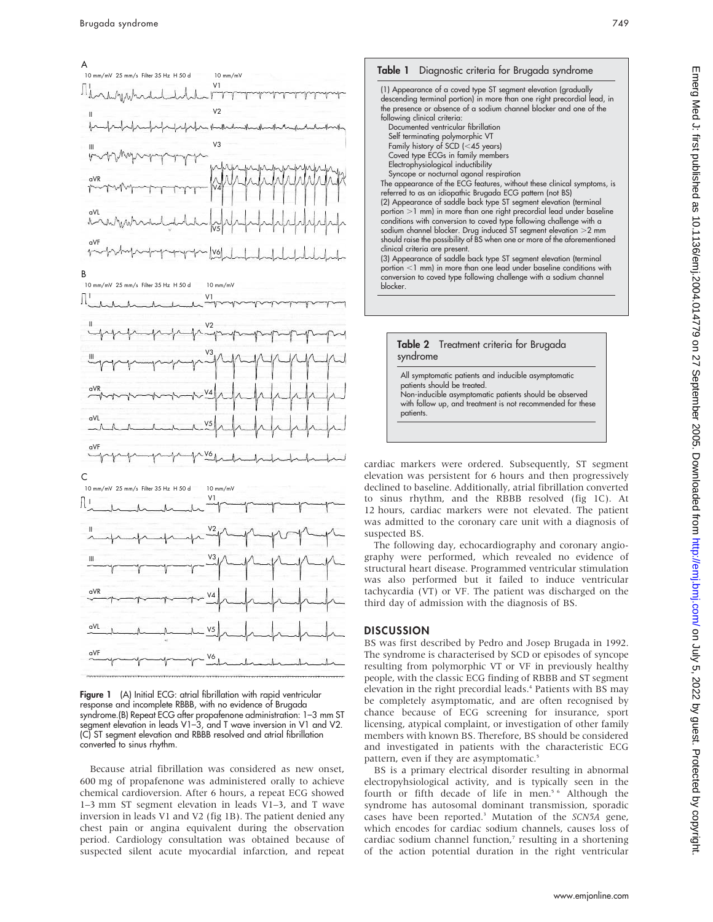

Figure 1 (A) Initial ECG: atrial fibrillation with rapid ventricular response and incomplete RBBB, with no evidence of Brugada syndrome.(B) Repeat ECG after propafenone administration: 1–3 mm ST segment elevation in leads V1–3, and T wave inversion in V1 and V2. (C) ST segment elevation and RBBB resolved and atrial fibrillation converted to sinus rhythm.

Because atrial fibrillation was considered as new onset, 600 mg of propafenone was administered orally to achieve chemical cardioversion. After 6 hours, a repeat ECG showed 1–3 mm ST segment elevation in leads V1–3, and T wave inversion in leads V1 and V2 (fig 1B). The patient denied any chest pain or angina equivalent during the observation period. Cardiology consultation was obtained because of suspected silent acute myocardial infarction, and repeat



All symptomatic patients and inducible asymptomatic patients should be treated. Non-inducible asymptomatic patients should be observed with follow up, and treatment is not recommended for these patients.

cardiac markers were ordered. Subsequently, ST segment elevation was persistent for 6 hours and then progressively declined to baseline. Additionally, atrial fibrillation converted to sinus rhythm, and the RBBB resolved (fig 1C). At 12 hours, cardiac markers were not elevated. The patient was admitted to the coronary care unit with a diagnosis of suspected BS.

The following day, echocardiography and coronary angiography were performed, which revealed no evidence of structural heart disease. Programmed ventricular stimulation was also performed but it failed to induce ventricular tachycardia (VT) or VF. The patient was discharged on the third day of admission with the diagnosis of BS.

#### **DISCUSSION**

BS was first described by Pedro and Josep Brugada in 1992. The syndrome is characterised by SCD or episodes of syncope resulting from polymorphic VT or VF in previously healthy people, with the classic ECG finding of RBBB and ST segment elevation in the right precordial leads.<sup>4</sup> Patients with BS may be completely asymptomatic, and are often recognised by chance because of ECG screening for insurance, sport licensing, atypical complaint, or investigation of other family members with known BS. Therefore, BS should be considered and investigated in patients with the characteristic ECG pattern, even if they are asymptomatic.<sup>5</sup>

BS is a primary electrical disorder resulting in abnormal electropyhsiological activity, and is typically seen in the fourth or fifth decade of life in men.<sup>5 6</sup> Although the syndrome has autosomal dominant transmission, sporadic cases have been reported.<sup>3</sup> Mutation of the SCN5A gene, which encodes for cardiac sodium channels, causes loss of cardiac sodium channel function,<sup>7</sup> resulting in a shortening of the action potential duration in the right ventricular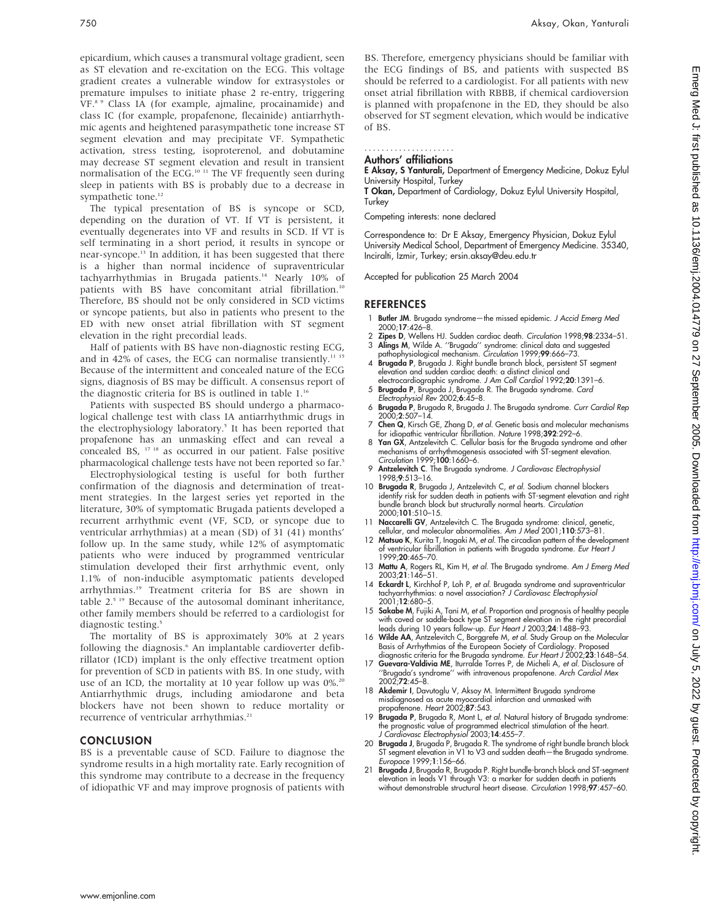epicardium, which causes a transmural voltage gradient, seen as ST elevation and re-excitation on the ECG. This voltage gradient creates a vulnerable window for extrasystoles or premature impulses to initiate phase 2 re-entry, triggering VF.8 9 Class IA (for example, ajmaline, procainamide) and class IC (for example, propafenone, flecainide) antiarrhythmic agents and heightened parasympathetic tone increase ST segment elevation and may precipitate VF. Sympathetic activation, stress testing, isoproterenol, and dobutamine may decrease ST segment elevation and result in transient normalisation of the ECG.10 11 The VF frequently seen during sleep in patients with BS is probably due to a decrease in sympathetic tone.<sup>12</sup>

The typical presentation of BS is syncope or SCD, depending on the duration of VT. If VT is persistent, it eventually degenerates into VF and results in SCD. If VT is self terminating in a short period, it results in syncope or near-syncope.<sup>13</sup> In addition, it has been suggested that there is a higher than normal incidence of supraventricular tachyarrhythmias in Brugada patients.<sup>14</sup> Nearly 10% of patients with BS have concomitant atrial fibrillation.<sup>10</sup> Therefore, BS should not be only considered in SCD victims or syncope patients, but also in patients who present to the ED with new onset atrial fibrillation with ST segment elevation in the right precordial leads.

Half of patients with BS have non-diagnostic resting ECG, and in 42% of cases, the ECG can normalise transiently.<sup>11 15</sup> Because of the intermittent and concealed nature of the ECG signs, diagnosis of BS may be difficult. A consensus report of the diagnostic criteria for BS is outlined in table  $1.^{16}$ 

Patients with suspected BS should undergo a pharmacological challenge test with class IA antiarrhythmic drugs in the electrophysiology laboratory.<sup>5</sup> It has been reported that propafenone has an unmasking effect and can reveal a concealed BS, 17 18 as occurred in our patient. False positive pharmacological challenge tests have not been reported so far.5

Electrophysiological testing is useful for both further confirmation of the diagnosis and determination of treatment strategies. In the largest series yet reported in the literature, 30% of symptomatic Brugada patients developed a recurrent arrhythmic event (VF, SCD, or syncope due to ventricular arrhythmias) at a mean (SD) of 31 (41) months' follow up. In the same study, while 12% of asymptomatic patients who were induced by programmed ventricular stimulation developed their first arrhythmic event, only 1.1% of non-inducible asymptomatic patients developed arrhythmias.19 Treatment criteria for BS are shown in table 2.5 19 Because of the autosomal dominant inheritance, other family members should be referred to a cardiologist for diagnostic testing.<sup>5</sup>

The mortality of BS is approximately 30% at 2 years following the diagnosis.<sup>6</sup> An implantable cardioverter defibrillator (ICD) implant is the only effective treatment option for prevention of SCD in patients with BS. In one study, with use of an ICD, the mortality at 10 year follow up was  $0\%$ .<sup>20</sup> Antiarrhythmic drugs, including amiodarone and beta blockers have not been shown to reduce mortality or recurrence of ventricular arrhythmias.<sup>21</sup>

#### **CONCLUSION**

BS is a preventable cause of SCD. Failure to diagnose the syndrome results in a high mortality rate. Early recognition of this syndrome may contribute to a decrease in the frequency of idiopathic VF and may improve prognosis of patients with

BS. Therefore, emergency physicians should be familiar with the ECG findings of BS, and patients with suspected BS should be referred to a cardiologist. For all patients with new onset atrial fibrillation with RBBB, if chemical cardioversion is planned with propafenone in the ED, they should be also observed for ST segment elevation, which would be indicative of BS.

#### Authors' affiliations .....................

E Aksay, S Yanturali, Department of Emergency Medicine, Dokuz Eylul University Hospital, Turkey

T Okan, Department of Cardiology, Dokuz Eylul University Hospital, Turkey

Competing interests: none declared

Correspondence to: Dr E Aksay, Emergency Physician, Dokuz Eylul University Medical School, Department of Emergency Medicine. 35340, Inciralti, Izmir, Turkey; ersin.aksay@deu.edu.tr

Accepted for publication 25 March 2004

- 1 Butler JM. Brugada syndrome-the missed epidemic. J Accid Emerg Med 2000;17:426–8.
- 2 Zipes D, Wellens HJ. Sudden cardiac death. Circulation 1998:98:2334–51.
- 3 Alings M, Wilde A. ''Brugada'' syndrome: clinical data and suggested pathophysiological mechanism. Circulation 1999;99:666–73.
- 4 Brugada P, Brugada J. Right bundle branch block, persistent ST segment elevation and sudden cardiac death: a distinct clinical and electrocardiographic syndrome. J Am Coll Cardiol 1992;20:1391–6.
- 5 Brugada P, Brugada J, Brugada R. The Brugada syndrome. Card Electrophysiol Rev 2002;6:45–8.
- 6 Brugada P, Brugada R, Brugada J. The Brugada syndrome. Curr Cardiol Rep 2000;2:507–14.
- 7 Chen Q, Kirsch GE, Zhang D, et al. Genetic basis and molecular mechanisms for idiopathic ventricular fibrillation. Nature 1998;392:292–6.
- 8 Yan GX, Antzelevitch C. Cellular basis for the Brugada syndrome and other mechanisms of arrhythmogenesis associated with ST-segment elevation. Circulation 1999;100:1660–6.
- 9 Antzelevitch C. The Brugada syndrome. J Cardiovasc Electrophysiol 1998;9:513–16.
- 10 Brugada R, Brugada J, Antzelevitch C, et al. Sodium channel blockers identify risk for sudden death in patients with ST-segment elevation and right bundle branch block but structurally normal hearts. Circulation 2000;101:510–15.
- 11 Naccarelli GV, Antzelevitch C. The Brugada syndrome: clinical, genetic, cellular, and molecular abnormalities. Am J Med 2001;110:573–81.
- 12 Matsuo K, Kurita T, Inagaki M, et al. The circadian pattern of the development of ventricular fibrillation in patients with Brugada syndrome. Eur Heart J 1999;20:465–70.
- 13 Mattu A, Rogers RL, Kim H, *et al.* The Brugada syndrome. A*m J Emerg Med*<br>2003;**21**:146–51.
- 14 Eckardt L, Kirchhof P, Loh P, et al. Brugada syndrome and supraventricular tachyarrhythmias: a novel association? J Cardiovasc Electrophysiol 2001;12:680–5.
- 15 Sakabe M, Fujiki A, Tani M, et al. Proportion and prognosis of healthy people with coved or saddle-back type ST segment elevation in the right precordial
- leads during 10 years tollow-up. *Eur Heart J* 2003;**24**:1488–93.<br>16 Wi**lde AA**, Antzelevitch C, Borggrefe M, *et al.* Study Group on the Molecular Basis of Arrhythmias of the European Society of Cardiology. Proposed diagnostic criteria for the Brugada syndrome. Eur Heart J 2002;23:1648-54.
- Guevara-Valdivia ME, Iturralde Torres P, de Micheli A, et al. Disclosure of 'Brugada's syndrome'' with intravenous propafenone. Arch Cardiol Mex 2002;72:45–8.
- 18 Akdemir I, Davutoglu V, Aksoy M. Intermittent Brugada syndrome misdiagnosed as acute myocardial infarction and unmasked with propafenone. Heart 2002;87:543.
- 19 Brugada P, Brugada R, Mont L, et al. Natural history of Brugada syndrome: the prognostic value of programmed electrical stimulation of the heart. J Cardiovasc Electrophysiol 2003;14:455–7.
- 20 Brugada J, Brugada P, Brugada R. The syndrome of right bundle branch block ST segment elevation in V1 to V3 and sudden death—the Brugada syndrome. Europace 1999;1:156–66.
- 21 Brugada J, Brugada R, Brugada P. Right bundle-branch block and ST-segment elevation in leads V1 through V3: a marker for sudden death in patients without demonstrable structural heart disease. Circulation 1998;97:457-60.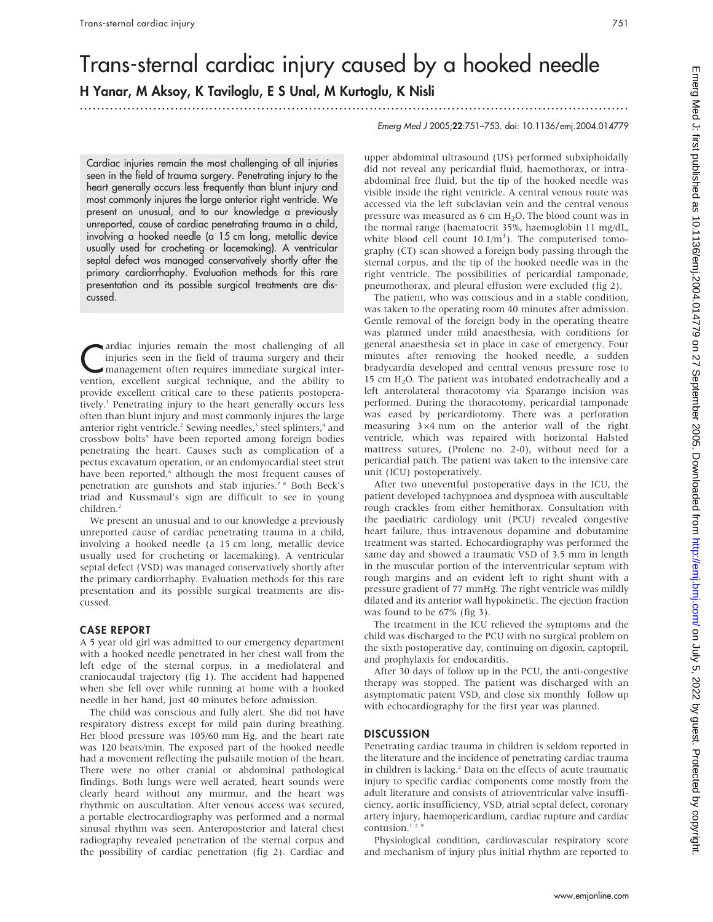# Trans-sternal cardiac injury caused by a hooked needle

...............................................................................................................................

H Yanar, M Aksoy, K Taviloglu, E S Unal, M Kurtoglu, K Nisli

Cardiac injuries remain the most challenging of all injuries seen in the field of trauma surgery. Penetrating injury to the heart generally occurs less frequently than blunt injury and most commonly injures the large anterior right ventricle. We present an unusual, and to our knowledge a previously unreported, cause of cardiac penetrating trauma in a child, involving a hooked needle (a 15 cm long, metallic device usually used for crocheting or lacemaking). A ventricular septal defect was managed conservatively shortly after the primary cardiorrhaphy. Evaluation methods for this rare presentation and its possible surgical treatments are discussed.

ardiac injuries remain the most challenging of all injuries seen in the field of trauma surgery and their management often requires immediate surgical interinjuries seen in the field of trauma surgery and their vention, excellent surgical technique, and the ability to provide excellent critical care to these patients postoperatively.<sup>1</sup> Penetrating injury to the heart generally occurs less often than blunt injury and most commonly injures the large anterior right ventricle.<sup>2</sup> Sewing needles,<sup>3</sup> steel splinters,<sup>4</sup> and crossbow bolts<sup>5</sup> have been reported among foreign bodies penetrating the heart. Causes such as complication of a pectus excavatum operation, or an endomyocardial steet strut have been reported,<sup>6</sup> although the most frequent causes of penetration are gunshots and stab injuries.<sup>78</sup> Both Beck's triad and Kussmaul's sign are difficult to see in young children.2

We present an unusual and to our knowledge a previously unreported cause of cardiac penetrating trauma in a child, involving a hooked needle (a 15 cm long, metallic device usually used for crocheting or lacemaking). A ventricular septal defect (VSD) was managed conservatively shortly after the primary cardiorrhaphy. Evaluation methods for this rare presentation and its possible surgical treatments are discussed.

#### CASE REPORT

A 5 year old girl was admitted to our emergency department with a hooked needle penetrated in her chest wall from the left edge of the sternal corpus, in a mediolateral and craniocaudal trajectory (fig 1). The accident had happened when she fell over while running at home with a hooked needle in her hand, just 40 minutes before admission.

The child was conscious and fully alert. She did not have respiratory distress except for mild pain during breathing. Her blood pressure was 105/60 mm Hg, and the heart rate was 120 beats/min. The exposed part of the hooked needle had a movement reflecting the pulsatile motion of the heart. There were no other cranial or abdominal pathological findings. Both lungs were well aerated, heart sounds were clearly heard without any murmur, and the heart was rhythmic on auscultation. After venous access was secured, a portable electrocardiography was performed and a normal sinusal rhythm was seen. Anteroposterior and lateral chest radiography revealed penetration of the sternal corpus and the possibility of cardiac penetration (fig 2). Cardiac and

Emerg Med J 2005;22:751–753. doi: 10.1136/emj.2004.014779

upper abdominal ultrasound (US) performed subxiphoidally did not reveal any pericardial fluid, haemothorax, or intraabdominal free fluid, but the tip of the hooked needle was visible inside the right ventricle. A central venous route was accessed via the left subclavian vein and the central venous pressure was measured as 6 cm H2O. The blood count was in the normal range (haematocrit 35%, haemoglobin 11 mg/dL, white blood cell count  $10.1/m<sup>3</sup>$ ). The computerised tomography (CT) scan showed a foreign body passing through the sternal corpus, and the tip of the hooked needle was in the right ventricle. The possibilities of pericardial tamponade, pneumothorax, and pleural effusion were excluded (fig 2).

The patient, who was conscious and in a stable condition, was taken to the operating room 40 minutes after admission. Gentle removal of the foreign body in the operating theatre was planned under mild anaesthesia, with conditions for general anaesthesia set in place in case of emergency. Four minutes after removing the hooked needle, a sudden bradycardia developed and central venous pressure rose to 15 cm H2O. The patient was intubated endotracheally and a left anterolateral thoracotomy via Sparango incision was performed. During the thoracotomy, pericardial tamponade was eased by pericardiotomy. There was a perforation measuring  $3\times4$  mm on the anterior wall of the right ventricle, which was repaired with horizontal Halsted mattress sutures, (Prolene no. 2-0), without need for a pericardial patch. The patient was taken to the intensive care unit (ICU) postoperatively.

After two uneventful postoperative days in the ICU, the patient developed tachypnoea and dyspnoea with auscultable rough crackles from either hemithorax. Consultation with the paediatric cardiology unit (PCU) revealed congestive heart failure, thus intravenous dopamine and dobutamine treatment was started. Echocardiography was performed the same day and showed a traumatic VSD of 3.5 mm in length in the muscular portion of the interventricular septum with rough margins and an evident left to right shunt with a pressure gradient of 77 mmHg. The right ventricle was mildly dilated and its anterior wall hypokinetic. The ejection fraction was found to be 67% (fig 3).

The treatment in the ICU relieved the symptoms and the child was discharged to the PCU with no surgical problem on the sixth postoperative day, continuing on digoxin, captopril, and prophylaxis for endocarditis.

After 30 days of follow up in the PCU, the anti-congestive therapy was stopped. The patient was discharged with an asymptomatic patent VSD, and close six monthly follow up with echocardiography for the first year was planned.

#### **DISCUSSION**

Penetrating cardiac trauma in children is seldom reported in the literature and the incidence of penetrating cardiac trauma in children is lacking.<sup>2</sup> Data on the effects of acute traumatic injury to specific cardiac components come mostly from the adult literature and consists of atrioventricular valve insufficiency, aortic insufficiency, VSD, atrial septal defect, coronary artery injury, haemopericardium, cardiac rupture and cardiac contusion.<sup>129</sup>

Physiological condition, cardiovascular respiratory score and mechanism of injury plus initial rhythm are reported to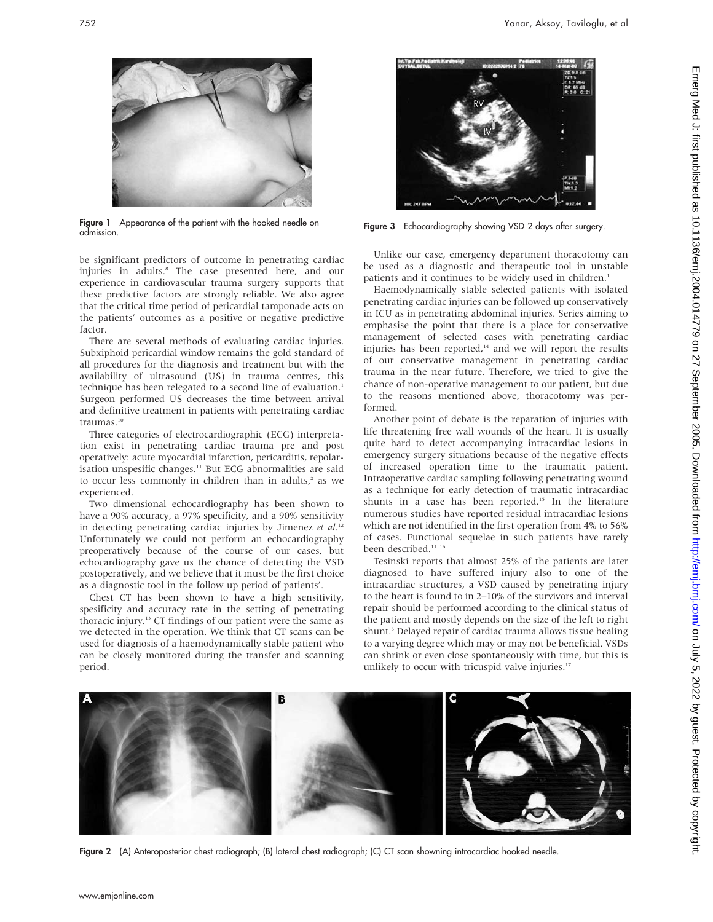

Figure 1 Appearance of the patient with the hooked needle on Figure 3 Echocardiography showing VSD 2 days after surgery. admission.

be significant predictors of outcome in penetrating cardiac injuries in adults.<sup>8</sup> The case presented here, and our experience in cardiovascular trauma surgery supports that these predictive factors are strongly reliable. We also agree that the critical time period of pericardial tamponade acts on the patients' outcomes as a positive or negative predictive factor.

There are several methods of evaluating cardiac injuries. Subxiphoid pericardial window remains the gold standard of all procedures for the diagnosis and treatment but with the availability of ultrasound (US) in trauma centres, this technique has been relegated to a second line of evaluation.<sup>1</sup> Surgeon performed US decreases the time between arrival and definitive treatment in patients with penetrating cardiac traumas.<sup>10</sup>

Three categories of electrocardiographic (ECG) interpretation exist in penetrating cardiac trauma pre and post operatively: acute myocardial infarction, pericarditis, repolarisation unspesific changes.<sup>11</sup> But ECG abnormalities are said to occur less commonly in children than in adults, $2$  as we experienced.

Two dimensional echocardiography has been shown to have a 90% accuracy, a 97% specificity, and a 90% sensitivity in detecting penetrating cardiac injuries by Jimenez et al.<sup>12</sup> Unfortunately we could not perform an echocardiography preoperatively because of the course of our cases, but echocardiography gave us the chance of detecting the VSD postoperatively, and we believe that it must be the first choice as a diagnostic tool in the follow up period of patients'.

Chest CT has been shown to have a high sensitivity, spesificity and accuracy rate in the setting of penetrating thoracic injury.13 CT findings of our patient were the same as we detected in the operation. We think that CT scans can be used for diagnosis of a haemodynamically stable patient who can be closely monitored during the transfer and scanning period.



Unlike our case, emergency department thoracotomy can be used as a diagnostic and therapeutic tool in unstable patients and it continues to be widely used in children.<sup>1</sup>

Haemodynamically stable selected patients with isolated penetrating cardiac injuries can be followed up conservatively in ICU as in penetrating abdominal injuries. Series aiming to emphasise the point that there is a place for conservative management of selected cases with penetrating cardiac injuries has been reported,<sup>14</sup> and we will report the results of our conservative management in penetrating cardiac trauma in the near future. Therefore, we tried to give the chance of non-operative management to our patient, but due to the reasons mentioned above, thoracotomy was performed.

Another point of debate is the reparation of injuries with life threatening free wall wounds of the heart. It is usually quite hard to detect accompanying intracardiac lesions in emergency surgery situations because of the negative effects of increased operation time to the traumatic patient. Intraoperative cardiac sampling following penetrating wound as a technique for early detection of traumatic intracardiac shunts in a case has been reported.<sup>15</sup> In the literature numerous studies have reported residual intracardiac lesions which are not identified in the first operation from 4% to 56% of cases. Functional sequelae in such patients have rarely been described.<sup>11 16</sup>

Tesinski reports that almost 25% of the patients are later diagnosed to have suffered injury also to one of the intracardiac structures, a VSD caused by penetrating injury to the heart is found to in 2–10% of the survivors and interval repair should be performed according to the clinical status of the patient and mostly depends on the size of the left to right shunt.<sup>3</sup> Delayed repair of cardiac trauma allows tissue healing to a varying degree which may or may not be beneficial. VSDs can shrink or even close spontaneously with time, but this is unlikely to occur with tricuspid valve injuries.<sup>17</sup>



Figure 2 (A) Anteroposterior chest radiograph; (B) lateral chest radiograph; (C) CT scan showning intracardiac hooked needle.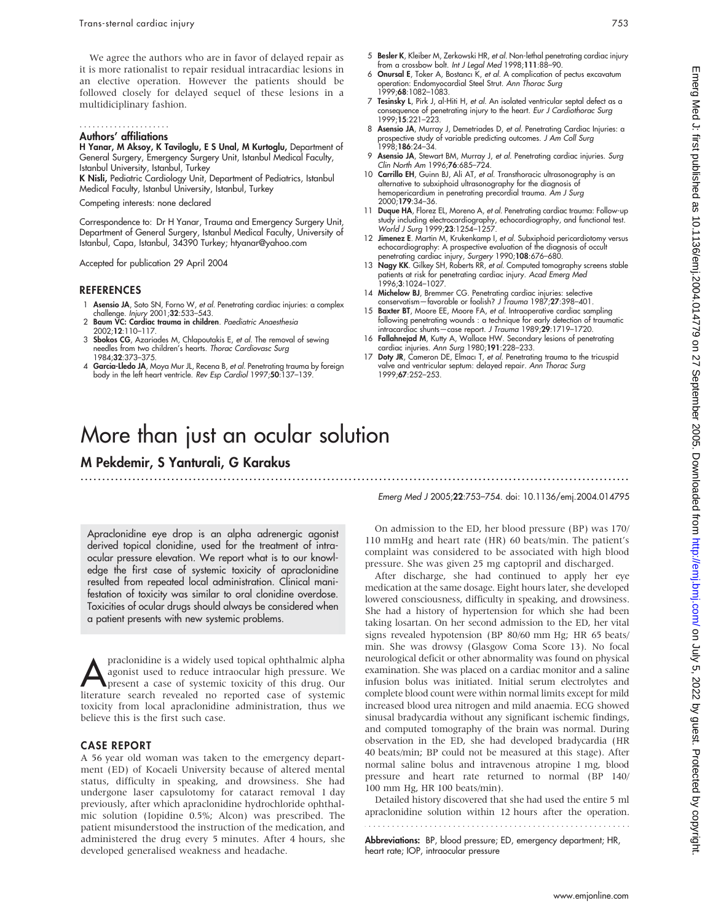We agree the authors who are in favor of delayed repair as it is more rationalist to repair residual intracardiac lesions in an elective operation. However the patients should be followed closely for delayed sequel of these lesions in a multidiciplinary fashion.

#### Authors' affiliations .....................

H Yanar, M Aksoy, K Taviloglu, E S Unal, M Kurtoglu, Department of General Surgery, Emergency Surgery Unit, Istanbul Medical Faculty, Istanbul University, Istanbul, Turkey

K Nisli, Pediatric Cardiology Unit, Department of Pediatrics, Istanbul Medical Faculty, Istanbul University, Istanbul, Turkey

#### Competing interests: none declared

Correspondence to: Dr H Yanar, Trauma and Emergency Surgery Unit, Department of General Surgery, Istanbul Medical Faculty, University of Istanbul, Capa, Istanbul, 34390 Turkey; htyanar@yahoo.com

Accepted for publication 29 April 2004

#### REFERENCES

- 1 Asensio JA, Soto SN, Forno W, et al. Penetrating cardiac injuries: a complex challenge. *Injury* 2001;3**2**:533–543.<br>2 **Baum VC: Cardiac trauma in children**. *Paediatric Anaesthesia*
- 2002;12:110–117.
- 3 Sbokos CG, Azariades M, Chlapoutakis E, et al. The removal of sewing needles from two children's hearts. Thorac Cardiovasc Surg 1984;32:373–375.
- 4 Garcia-Lledo JA, Moya Mur JL, Recena B, et al. Penetrating trauma by foreign body in the left heart ventricle. Rev Esp Cardiol 1997;50:137–139.
- 5 Besler K, Kleiber M, Zerkowski HR, et al. Non-lethal penetrating cardiac injury from a crossbow bolt. Int J Legal Med 1998;111:88–90.
- 6 Onursal E, Toker A, Bostancı K, et al. A complication of pectus excavatum operation: Endomyocardial Steel Strut. Ann Thorac Surg 1999;**68**:1082–1083.
- 7 Tesinsky L, Pirk J, al-Hiti H, et al. An isolated ventricular septal defect as a consequence of penetrating injury to the heart. Eur J Cardiothorac Surg 1999;15:221–223.
- 8 Asensio JA, Murray J, Demetriades D, et al. Penetrating Cardiac Injuries: a prospective study of variable predicting outcomes. J Am Coll Surg 1998;186:24–34.
- 9 Asensio JA, Stewart BM, Murray J, et al. Penetrating cardiac injuries. Surg Clin North Am 1996;76:685-724.
- 10 Carrillo EH, Guinn BJ, Ali AT, et al. Transthoracic ultrasonography is an alternative to subxiphoid ultrasonography for the diagnosis of hemopericardium in penetrating precordial trauma. Am J Surg 2000;179:34–36.
- 11 Duque HA, Florez EL, Moreno A, et al. Penetrating cardiac trauma: Follow-up study including electrocardiography, echocardiography, and functional test. World J Surg 1999;23:1254–1257.
- 12 Jimenez E. Martin M, Krukenkamp I, et al. Subxiphoid pericardiotomy versus echocardiography: A prospective evaluation of the diagnosis of occult
- penetrating cardiac injury, *Surgery* 1990;1**08**:676–680.<br>13 **Nagy KK**. Gilkey SH, Roberts RR, *et al*. Computed tomography screens stable patients at risk for penetrating cardiac injury. Acad Emerg Med 1996;3:1024–1027.
- 14 Michelow BJ, Bremmer CG. Penetrating cardiac injuries: selective conservatism—favorable or foolish? J Trauma 1987;27:398–401.
- 15 Baxter BT, Moore EE, Moore FA, et al. Intraoperative cardiac sampling following penetrating wounds : a technique for early detection of traumatic intracardiac shunts—case report. J Trauma 1989;29:1719–1720.
- 16 Fallahnejad M, Kutty A, Wallace HW. Secondary lesions of penetrating cardiac injuries. Ann Surg 1980;191:228–233.
- 17 Doty JR, Cameron DE, Elmacı T, et al. Penetrating trauma to the tricuspid valve and ventricular septum: delayed repair. Ann Thorac Surg 1999;67:252–253.

# More than just an ocular solution

...............................................................................................................................

M Pekdemir, S Yanturali, G Karakus

Apraclonidine eye drop is an alpha adrenergic agonist derived topical clonidine, used for the treatment of intraocular pressure elevation. We report what is to our knowledge the first case of systemic toxicity of apraclonidine resulted from repeated local administration. Clinical manifestation of toxicity was similar to oral clonidine overdose. Toxicities of ocular drugs should always be considered when a patient presents with new systemic problems.

**A** praclonidine is a widely used topical ophthalmic alpha<br>agonist used to reduce intraocular high pressure. We<br>present a case of systemic toxicity of this drug. Our agonist used to reduce intraocular high pressure. We literature search revealed no reported case of systemic toxicity from local apraclonidine administration, thus we believe this is the first such case.

#### CASE REPORT

A 56 year old woman was taken to the emergency department (ED) of Kocaeli University because of altered mental status, difficulty in speaking, and drowsiness. She had undergone laser capsulotomy for cataract removal 1 day previously, after which apraclonidine hydrochloride ophthalmic solution (Iopidine 0.5%; Alcon) was prescribed. The patient misunderstood the instruction of the medication, and administered the drug every 5 minutes. After 4 hours, she developed generalised weakness and headache.

Emerg Med J 2005;22:753–754. doi: 10.1136/emj.2004.014795

On admission to the ED, her blood pressure (BP) was 170/ 110 mmHg and heart rate (HR) 60 beats/min. The patient's complaint was considered to be associated with high blood pressure. She was given 25 mg captopril and discharged.

After discharge, she had continued to apply her eye medication at the same dosage. Eight hours later, she developed lowered consciousness, difficulty in speaking, and drowsiness. She had a history of hypertension for which she had been taking losartan. On her second admission to the ED, her vital signs revealed hypotension (BP 80/60 mm Hg; HR 65 beats/ min. She was drowsy (Glasgow Coma Score 13). No focal neurological deficit or other abnormality was found on physical examination. She was placed on a cardiac monitor and a saline infusion bolus was initiated. Initial serum electrolytes and complete blood count were within normal limits except for mild increased blood urea nitrogen and mild anaemia. ECG showed sinusal bradycardia without any significant ischemic findings, and computed tomography of the brain was normal. During observation in the ED, she had developed bradycardia (HR 40 beats/min; BP could not be measured at this stage). After normal saline bolus and intravenous atropine 1 mg, blood pressure and heart rate returned to normal (BP 140/ 100 mm Hg, HR 100 beats/min).

Detailed history discovered that she had used the entire 5 ml apraclonidine solution within 12 hours after the operation. 

Abbreviations: BP, blood pressure; ED, emergency department; HR, heart rate; IOP, intraocular pressure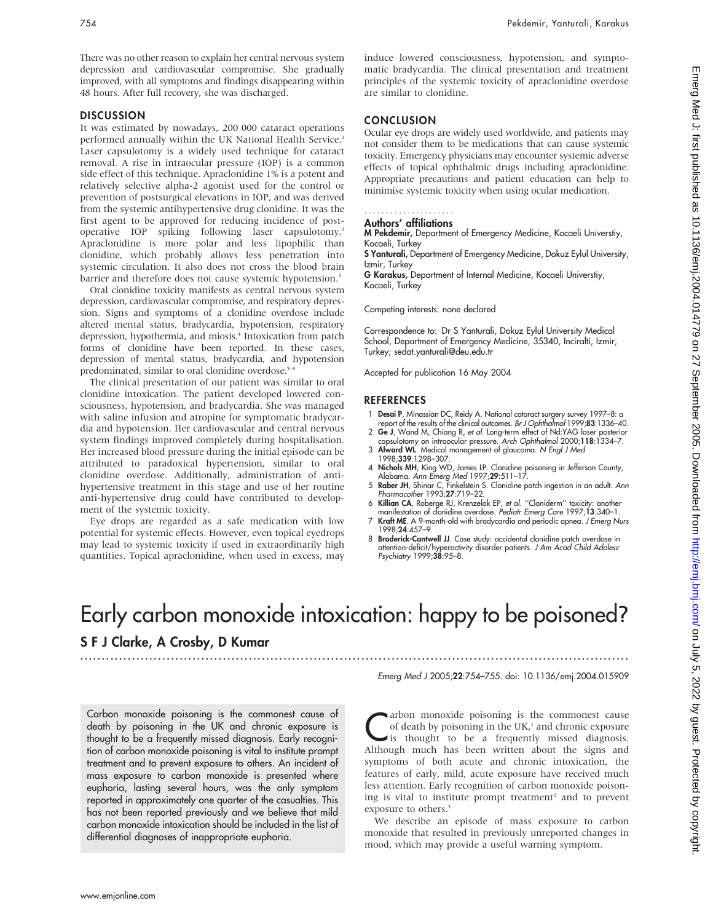There was no other reason to explain her central nervous system depression and cardiovascular compromise. She gradually improved, with all symptoms and findings disappearing within 48 hours. After full recovery, she was discharged.

#### **DISCUSSION**

It was estimated by nowadays, 200 000 cataract operations performed annually within the UK National Health Service.<sup>1</sup> Laser capsulotomy is a widely used technique for cataract removal. A rise in intraocular pressure (IOP) is a common side effect of this technique. Apraclonidine 1% is a potent and relatively selective alpha-2 agonist used for the control or prevention of postsurgical elevations in IOP, and was derived from the systemic antihypertensive drug clonidine. It was the first agent to be approved for reducing incidence of postoperative IOP spiking following laser capsulotomy.<sup>2</sup> Apraclonidine is more polar and less lipophilic than clonidine, which probably allows less penetration into systemic circulation. It also does not cross the blood brain barrier and therefore does not cause systemic hypotension.<sup>3</sup>

Oral clonidine toxicity manifests as central nervous system depression, cardiovascular compromise, and respiratory depression. Signs and symptoms of a clonidine overdose include altered mental status, bradycardia, hypotension, respiratory depression, hypothermia, and miosis.<sup>4</sup> Intoxication from patch forms of clonidine have been reported. In these cases, depression of mental status, bradycardia, and hypotension predominated, similar to oral clonidine overdose.<sup>5-8</sup>

The clinical presentation of our patient was similar to oral clonidine intoxication. The patient developed lowered consciousness, hypotension, and bradycardia. She was managed with saline infusion and atropine for symptomatic bradycardia and hypotension. Her cardiovascular and central nervous system findings improved completely during hospitalisation. Her increased blood pressure during the initial episode can be attributed to paradoxical hypertension, similar to oral clonidine overdose. Additionally, administration of antihypertensive treatment in this stage and use of her routine anti-hypertensive drug could have contributed to development of the systemic toxicity.

Eye drops are regarded as a safe medication with low potential for systemic effects. However, even topical eyedrops may lead to systemic toxicity if used in extraordinarily high quantities. Topical apraclonidine, when used in excess, may induce lowered consciousness, hypotension, and symptomatic bradycardia. The clinical presentation and treatment principles of the systemic toxicity of apraclonidine overdose are similar to clonidine.

#### **CONCLUSION**

Ocular eye drops are widely used worldwide, and patients may not consider them to be medications that can cause systemic toxicity. Emergency physicians may encounter systemic adverse effects of topical ophthalmic drugs including apraclonidine. Appropriate precautions and patient education can help to minimise systemic toxicity when using ocular medication.

#### .....................

Authors' affiliations

M Pekdemir, Department of Emergency Medicine, Kocaeli Universtiy, Kocaeli, Turkey

S Yanturali, Department of Emergency Medicine, Dokuz Eylul University, Izmir, Turkey

G Karakus, Department of Internal Medicine, Kocaeli Universtiy, Kocaeli, Turkey

Competing interests: none declared

Correspondence to: Dr S Yanturali, Dokuz Eylul University Medical School, Department of Emergency Medicine, 35340, Inciralti, Izmir, Turkey; sedat.yanturali@deu.edu.tr

Accepted for publication 16 May 2004

#### REFERENCES

- 1 **Desai P**, Minassian DC, Reidy A. National cataract surgery survey 1997–8: a<br>1999;**83:** report of the results of the clinical outcomes. *Br J Ophthalmol* 1999;**83**:1336–40<br>2 **Ge J**, Wand M, Chiang R, *et al.* Long-term e
- capsulotomy on intraocular pressure. Arch Ophthalmol 2000;118:1334–7.
- 3 Alward WL. Medical management of glaucoma. N Engl J Med 1998;339:1298–307.
- 4 **Nichols MH**, King WD, James LP. Clonidine poisoning in Jefferson County,<br>Alabama. *Ann Emerg Med* 1997;**29**:511–17.<br>5 **Raber JH**, Shinar C, Finkelstein S. Clonidine patch ingestion in an adult. *Ann*
- Pharmacother 1993;27:719–22.
- 6 Killian CA, Roberge RJ, Krenzelok EP, et al. ''Cloniderm'' toxicity: another manifestation of clonidine overdose. Pediatr Emerg Care 1997;13:340–1.
- 7 Kraft ME. A 9-month-old with bradycardia and periodic apnea. J Emerg Nurs 1998;24:457–9.
- 8 Broderick-Cantwell JJ. Case study: accidental clonidine patch overdose in attention-deficit/hyperactivity disorder patients. J Am Acad Child Adolesc Psychiatry 1999;38:95–8.

## Early carbon monoxide intoxication: happy to be poisoned? S F J Clarke, A Crosby, D Kumar ...............................................................................................................................

Carbon monoxide poisoning is the commonest cause of death by poisoning in the UK and chronic exposure is thought to be a frequently missed diagnosis. Early recognition of carbon monoxide poisoning is vital to institute prompt treatment and to prevent exposure to others. An incident of mass exposure to carbon monoxide is presented where euphoria, lasting several hours, was the only symptom reported in approximately one quarter of the casualties. This has not been reported previously and we believe that mild carbon monoxide intoxication should be included in the list of differential diagnoses of inappropriate euphoria.

Emerg Med J 2005;22:754–755. doi: 10.1136/emj.2004.015909

The arbon monoxide poisoning is the commonest cause<br>of death by poisoning in the UK,<sup>1</sup> and chronic exposure<br>is thought to be a frequently missed diagnosis. of death by poisoning in the UK,<sup>1</sup> and chronic exposure is thought to be a frequently missed diagnosis. Although much has been written about the signs and symptoms of both acute and chronic intoxication, the features of early, mild, acute exposure have received much less attention. Early recognition of carbon monoxide poisoning is vital to institute prompt treatment<sup>2</sup> and to prevent exposure to others.<sup>3</sup>

We describe an episode of mass exposure to carbon monoxide that resulted in previously unreported changes in mood, which may provide a useful warning symptom.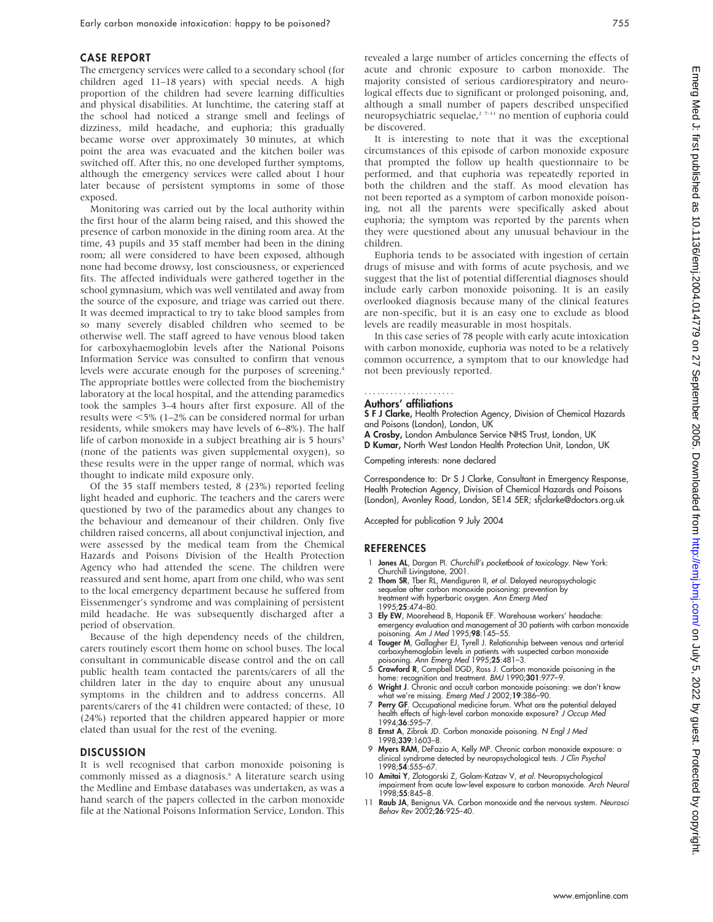#### CASE REPORT

The emergency services were called to a secondary school (for children aged 11–18 years) with special needs. A high proportion of the children had severe learning difficulties and physical disabilities. At lunchtime, the catering staff at the school had noticed a strange smell and feelings of dizziness, mild headache, and euphoria; this gradually became worse over approximately 30 minutes, at which point the area was evacuated and the kitchen boiler was switched off. After this, no one developed further symptoms, although the emergency services were called about 1 hour later because of persistent symptoms in some of those exposed.

Monitoring was carried out by the local authority within the first hour of the alarm being raised, and this showed the presence of carbon monoxide in the dining room area. At the time, 43 pupils and 35 staff member had been in the dining room; all were considered to have been exposed, although none had become drowsy, lost consciousness, or experienced fits. The affected individuals were gathered together in the school gymnasium, which was well ventilated and away from the source of the exposure, and triage was carried out there. It was deemed impractical to try to take blood samples from so many severely disabled children who seemed to be otherwise well. The staff agreed to have venous blood taken for carboxyhaemoglobin levels after the National Poisons Information Service was consulted to confirm that venous levels were accurate enough for the purposes of screening.4 The appropriate bottles were collected from the biochemistry laboratory at the local hospital, and the attending paramedics took the samples 3–4 hours after first exposure. All of the results were  $<5\%$  (1–2% can be considered normal for urban residents, while smokers may have levels of 6–8%). The half life of carbon monoxide in a subject breathing air is 5 hours<sup>5</sup> (none of the patients was given supplemental oxygen), so these results were in the upper range of normal, which was thought to indicate mild exposure only.

Of the 35 staff members tested, 8 (23%) reported feeling light headed and euphoric. The teachers and the carers were questioned by two of the paramedics about any changes to the behaviour and demeanour of their children. Only five children raised concerns, all about conjunctival injection, and were assessed by the medical team from the Chemical Hazards and Poisons Division of the Health Protection Agency who had attended the scene. The children were reassured and sent home, apart from one child, who was sent to the local emergency department because he suffered from Eissenmenger's syndrome and was complaining of persistent mild headache. He was subsequently discharged after a period of observation.

Because of the high dependency needs of the children, carers routinely escort them home on school buses. The local consultant in communicable disease control and the on call public health team contacted the parents/carers of all the children later in the day to enquire about any unusual symptoms in the children and to address concerns. All parents/carers of the 41 children were contacted; of these, 10 (24%) reported that the children appeared happier or more elated than usual for the rest of the evening.

#### **DISCUSSION**

It is well recognised that carbon monoxide poisoning is commonly missed as a diagnosis.6 A literature search using the Medline and Embase databases was undertaken, as was a hand search of the papers collected in the carbon monoxide file at the National Poisons Information Service, London. This

revealed a large number of articles concerning the effects of acute and chronic exposure to carbon monoxide. The majority consisted of serious cardiorespiratory and neurological effects due to significant or prolonged poisoning, and, although a small number of papers described unspecified neuropsychiatric sequelae, $27-11$  no mention of euphoria could be discovered.

It is interesting to note that it was the exceptional circumstances of this episode of carbon monoxide exposure that prompted the follow up health questionnaire to be performed, and that euphoria was repeatedly reported in both the children and the staff. As mood elevation has not been reported as a symptom of carbon monoxide poisoning, not all the parents were specifically asked about euphoria; the symptom was reported by the parents when they were questioned about any unusual behaviour in the children.

Euphoria tends to be associated with ingestion of certain drugs of misuse and with forms of acute psychosis, and we suggest that the list of potential differential diagnoses should include early carbon monoxide poisoning. It is an easily overlooked diagnosis because many of the clinical features are non-specific, but it is an easy one to exclude as blood levels are readily measurable in most hospitals.

In this case series of 78 people with early acute intoxication with carbon monoxide, euphoria was noted to be a relatively common occurrence, a symptom that to our knowledge had not been previously reported.

#### Authors' affiliations .....................

S F J Clarke, Health Protection Agency, Division of Chemical Hazards and Poisons (London), London, UK

A Crosby, London Ambulance Service NHS Trust, London, UK D Kumar, North West London Health Protection Unit, London, UK

Competing interests: none declared

Correspondence to: Dr S J Clarke, Consultant in Emergency Response, Health Protection Agency, Division of Chemical Hazards and Poisons (London), Avonley Road, London, SE14 5ER; sfjclarke@doctors.org.uk

Accepted for publication 9 July 2004

- 1 Jones AL, Dargan PI. Churchill's pocketbook of toxicology. New York: Churchill Livingstone, 2001.
- 2 Thom SR, Tber RL, Mendiguren II, et al. Delayed neuropsychologic sequelae after carbon monoxide poisoning: prevention by treatment with hyperbaric oxygen. Ann Emerg Med 1995;25:474–80.
- 3 Ely EW, Moorehead B, Haponik EF. Warehouse workers' headache: emergency evaluation and management of 30 patients with carbon monoxide
- poisoning. *Am J Med* 1995;**98**:145–55.<br>4 Touger M, Gallagher EJ, Tyrell J. Relationship between venous and arterial carboxyhemoglobin levels in patients with suspected carbon monoxide
- poisoning. A*nn Emerg Med* 1995;**25**:481–3.<br>5 **Crawford R**, Campbell DGD, Ross J. Carbon monoxide poisoning in the home: recognition and treatment. BMJ 1990;301:977-9.
- 6 Wright J. Chronic and occult carbon monoxide poisoning: we don't know what we're missing. Emerg Med J 2002;19:386–90.
- 7 Perry GF. Occupational medicine forum. What are the potential delayed health effects of high-level carbon monoxide exposure? J Occup Med 1994;36:595–7.
- 8 Ernst A, Zibrak JD. Carbon monoxide poisoning. N Engl J Med 1998;339:1603–8.
- 9 Myers RAM, DeFazio A, Kelly MP. Chronic carbon monoxide exposure: a nical syndrome detected by neuropsychological tests. J Clin Psychol 1998;54:555–67.
- 10 Amitai Y, Zlotogorski Z, Golam-Katzav V, et al. Neuropsychological impairment from acute low-level exposure to carbon monoxide. Arch Neurol 1998;55:845–8.
- 11 Raub JA, Benignus VA. Carbon monoxide and the nervous system. Neurosci Behav Rev 2002;26:925-40.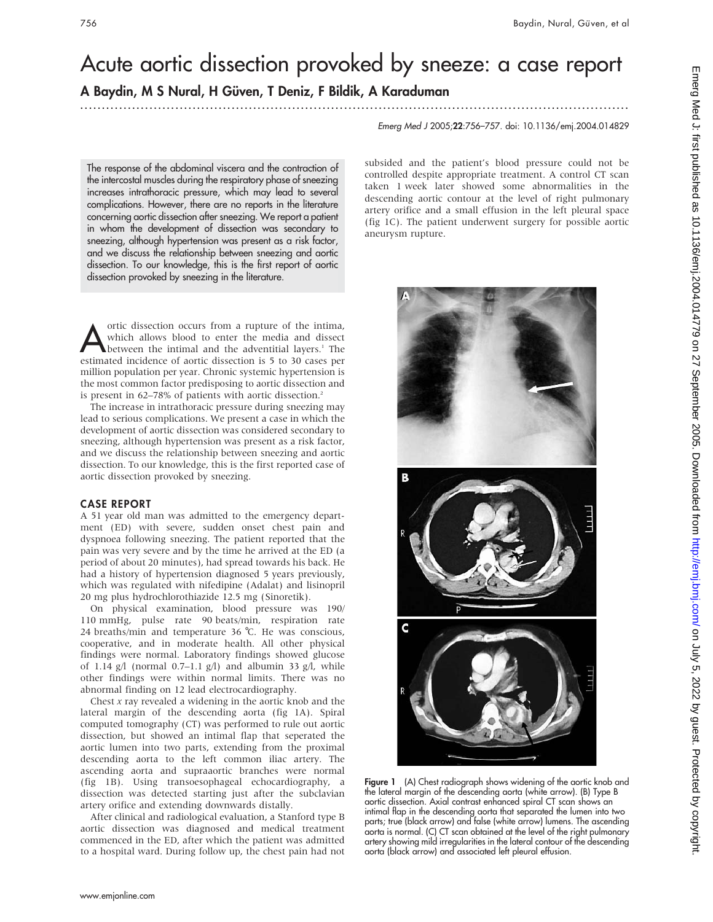## Acute aortic dissection provoked by sneeze: a case report A Baydin, M S Nural, H Güven, T Deniz, F Bildik, A Karaduman

...............................................................................................................................

The response of the abdominal viscera and the contraction of the intercostal muscles during the respiratory phase of sneezing increases intrathoracic pressure, which may lead to several complications. However, there are no reports in the literature concerning aortic dissection after sneezing. We report a patient in whom the development of dissection was secondary to sneezing, although hypertension was present as a risk factor, and we discuss the relationship between sneezing and aortic dissection. To our knowledge, this is the first report of aortic dissection provoked by sneezing in the literature.

A ortic dissection occurs from a rupture of the intima,<br>which allows blood to enter the media and dissect<br>between the intimal and the adventitial layers.<sup>1</sup> The<br>estimated incidence of agric dissection is 5 to 30 cases per which allows blood to enter the media and dissect between the intimal and the adventitial layers.<sup>1</sup> The estimated incidence of aortic dissection is 5 to 30 cases per million population per year. Chronic systemic hypertension is the most common factor predisposing to aortic dissection and is present in 62-78% of patients with aortic dissection.<sup>2</sup>

The increase in intrathoracic pressure during sneezing may lead to serious complications. We present a case in which the development of aortic dissection was considered secondary to sneezing, although hypertension was present as a risk factor, and we discuss the relationship between sneezing and aortic dissection. To our knowledge, this is the first reported case of aortic dissection provoked by sneezing.

#### CASE REPORT

A 51 year old man was admitted to the emergency department (ED) with severe, sudden onset chest pain and dyspnoea following sneezing. The patient reported that the pain was very severe and by the time he arrived at the ED (a period of about 20 minutes), had spread towards his back. He had a history of hypertension diagnosed 5 years previously, which was regulated with nifedipine (Adalat) and lisinopril 20 mg plus hydrochlorothiazide 12.5 mg (Sinoretik).

On physical examination, blood pressure was 190/ 110 mmHg, pulse rate 90 beats/min, respiration rate 24 breaths/min and temperature 36 ˚C. He was conscious, cooperative, and in moderate health. All other physical findings were normal. Laboratory findings showed glucose of 1.14  $g/l$  (normal 0.7–1.1  $g/l$ ) and albumin 33  $g/l$ , while other findings were within normal limits. There was no abnormal finding on 12 lead electrocardiography.

Chest  $x$  ray revealed a widening in the aortic knob and the lateral margin of the descending aorta (fig 1A). Spiral computed tomography (CT) was performed to rule out aortic dissection, but showed an intimal flap that seperated the aortic lumen into two parts, extending from the proximal descending aorta to the left common iliac artery. The ascending aorta and supraaortic branches were normal (fig 1B). Using transoesophageal echocardiography, a dissection was detected starting just after the subclavian artery orifice and extending downwards distally.

After clinical and radiological evaluation, a Stanford type B aortic dissection was diagnosed and medical treatment commenced in the ED, after which the patient was admitted to a hospital ward. During follow up, the chest pain had not Emerg Med J 2005;22:756–757. doi: 10.1136/emj.2004.014829

subsided and the patient's blood pressure could not be controlled despite appropriate treatment. A control CT scan taken 1 week later showed some abnormalities in the descending aortic contour at the level of right pulmonary artery orifice and a small effusion in the left pleural space (fig 1C). The patient underwent surgery for possible aortic aneurysm rupture.



C